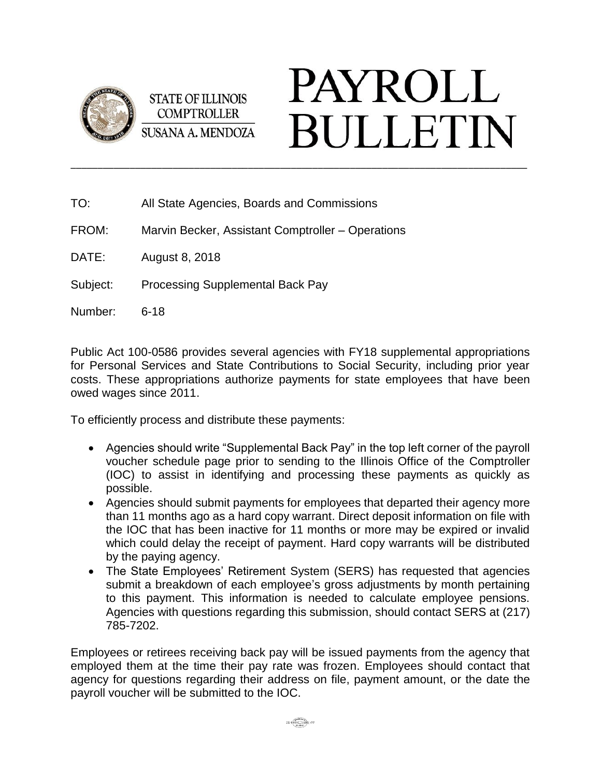

**STATE OF ILLINOIS COMPTROLLER SUSANA A. MENDOZA** 

## **PAYROLL BULLETIN** \_\_\_\_\_\_\_\_\_\_\_\_\_\_\_\_\_\_\_\_\_\_\_\_\_\_\_\_\_\_\_\_\_\_\_\_\_\_\_\_\_\_\_\_\_\_\_\_\_\_\_\_\_\_\_\_\_\_\_\_\_\_\_\_\_\_\_\_\_\_\_\_\_\_\_\_\_\_\_\_\_\_\_\_\_

| TO:      | All State Agencies, Boards and Commissions        |
|----------|---------------------------------------------------|
| FROM:    | Marvin Becker, Assistant Comptroller – Operations |
| DATE:    | August 8, 2018                                    |
| Subject: | <b>Processing Supplemental Back Pay</b>           |
| Number:  | $6 - 18$                                          |

Public Act 100-0586 provides several agencies with FY18 supplemental appropriations for Personal Services and State Contributions to Social Security, including prior year costs. These appropriations authorize payments for state employees that have been owed wages since 2011.

To efficiently process and distribute these payments:

- Agencies should write "Supplemental Back Pay" in the top left corner of the payroll voucher schedule page prior to sending to the Illinois Office of the Comptroller (IOC) to assist in identifying and processing these payments as quickly as possible.
- Agencies should submit payments for employees that departed their agency more than 11 months ago as a hard copy warrant. Direct deposit information on file with the IOC that has been inactive for 11 months or more may be expired or invalid which could delay the receipt of payment. Hard copy warrants will be distributed by the paying agency.
- The State Employees' Retirement System (SERS) has requested that agencies submit a breakdown of each employee's gross adjustments by month pertaining to this payment. This information is needed to calculate employee pensions. Agencies with questions regarding this submission, should contact SERS at (217) 785-7202.

Employees or retirees receiving back pay will be issued payments from the agency that employed them at the time their pay rate was frozen. Employees should contact that agency for questions regarding their address on file, payment amount, or the date the payroll voucher will be submitted to the IOC.